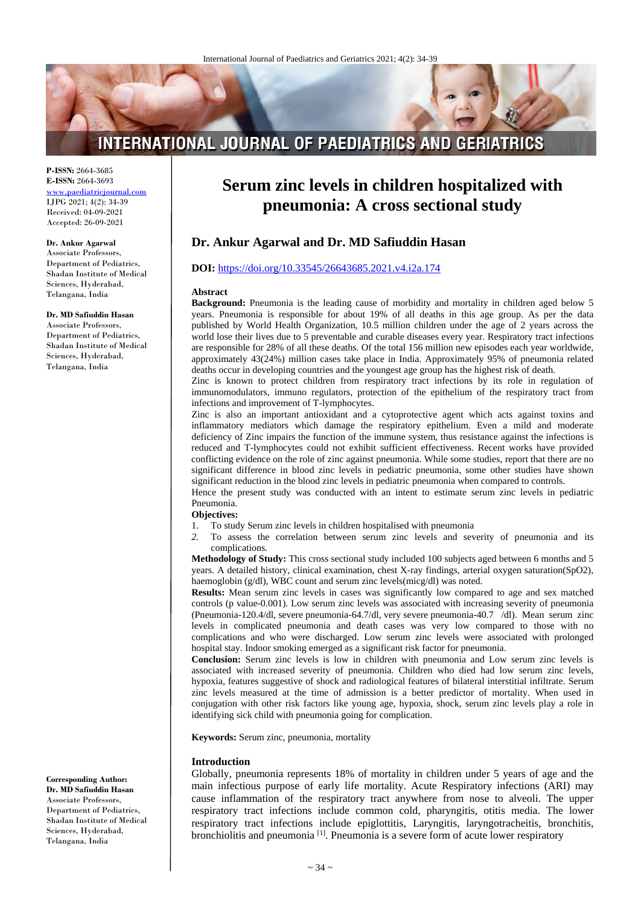# **INTERNATIONAL JOURNAL OF PAEDIATRICS AND GERIATRICS**

**P-ISSN:** 2664-3685 **E-ISSN:** 2664-3693 [www.paediatricjournal.com](http://www.paediatricjournal.com/) IJPG 2021; 4(2): 34-39 Received: 04-09-2021 Accepted: 26-09-2021

**Dr. Ankur Agarwal** Associate Professors, Department of Pediatrics, Shadan Institute of Medical Sciences, Hyderabad, Telangana, India

#### **Dr. MD Safiuddin Hasan**

Associate Professors, Department of Pediatrics, Shadan Institute of Medical Sciences, Hyderabad, Telangana, India

**Corresponding Author: Dr. MD Safiuddin Hasan** Associate Professors, Department of Pediatrics, Shadan Institute of Medical Sciences, Hyderabad, Telangana, India

# **Serum zinc levels in children hospitalized with pneumonia: A cross sectional study**

## **Dr. Ankur Agarwal and Dr. MD Safiuddin Hasan**

#### **DOI:** <https://doi.org/10.33545/26643685.2021.v4.i2a.174>

#### **Abstract**

**Background:** Pneumonia is the leading cause of morbidity and mortality in children aged below 5 years. Pneumonia is responsible for about 19% of all deaths in this age group. As per the data published by World Health Organization, 10.5 million children under the age of 2 years across the world lose their lives due to 5 preventable and curable diseases every year. Respiratory tract infections are responsible for 28% of all these deaths. Of the total 156 million new episodes each year worldwide, approximately 43(24%) million cases take place in India. Approximately 95% of pneumonia related deaths occur in developing countries and the youngest age group has the highest risk of death.

Zinc is known to protect children from respiratory tract infections by its role in regulation of immunomodulators, immuno regulators, protection of the epithelium of the respiratory tract from infections and improvement of T-lymphocytes.

Zinc is also an important antioxidant and a cytoprotective agent which acts against toxins and inflammatory mediators which damage the respiratory epithelium. Even a mild and moderate deficiency of Zinc impairs the function of the immune system, thus resistance against the infections is reduced and T-lymphocytes could not exhibit sufficient effectiveness. Recent works have provided conflicting evidence on the role of zinc against pneumonia. While some studies, report that there are no significant difference in blood zinc levels in pediatric pneumonia, some other studies have shown significant reduction in the blood zinc levels in pediatric pneumonia when compared to controls.

Hence the present study was conducted with an intent to estimate serum zinc levels in pediatric Pneumonia.

# **Objectives:**<br>1. To stud

- 1. To study Serum zinc levels in children hospitalised with pneumonia<br>2. To assess the correlation between serum zinc levels and sev
- *2.* To assess the correlation between serum zinc levels and severity of pneumonia and its complications*.*

**Methodology of Study:** This cross sectional study included 100 subjects aged between 6 months and 5 years. A detailed history, clinical examination, chest X-ray findings, arterial oxygen saturation(SpO2), haemoglobin (g/dl), WBC count and serum zinc levels(micg/dl) was noted.

**Results:** Mean serum zinc levels in cases was significantly low compared to age and sex matched controls (p value-0.001). Low serum zinc levels was associated with increasing severity of pneumonia (Pneumonia-120.4/dl, severe pneumonia-64.7/dl, very severe pneumonia-40.7 /dl). Mean serum zinc levels in complicated pneumonia and death cases was very low compared to those with no complications and who were discharged. Low serum zinc levels were associated with prolonged hospital stay. Indoor smoking emerged as a significant risk factor for pneumonia.

**Conclusion:** Serum zinc levels is low in children with pneumonia and Low serum zinc levels is associated with increased severity of pneumonia. Children who died had low serum zinc levels, hypoxia, features suggestive of shock and radiological features of bilateral interstitial infiltrate. Serum zinc levels measured at the time of admission is a better predictor of mortality. When used in conjugation with other risk factors like young age, hypoxia, shock, serum zinc levels play a role in identifying sick child with pneumonia going for complication.

**Keywords:** Serum zinc, pneumonia, mortality

#### **Introduction**

Globally, pneumonia represents 18% of mortality in children under 5 years of age and the main infectious purpose of early life mortality. Acute Respiratory infections (ARI) may cause inflammation of the respiratory tract anywhere from nose to alveoli. The upper respiratory tract infections include common cold, pharyngitis, otitis media. The lower respiratory tract infections include epiglottitis, Laryngitis, laryngotracheitis, bronchitis, bronchiolitis and pneumonia  $\left[1\right]$ . Pneumonia is a severe form of acute lower respiratory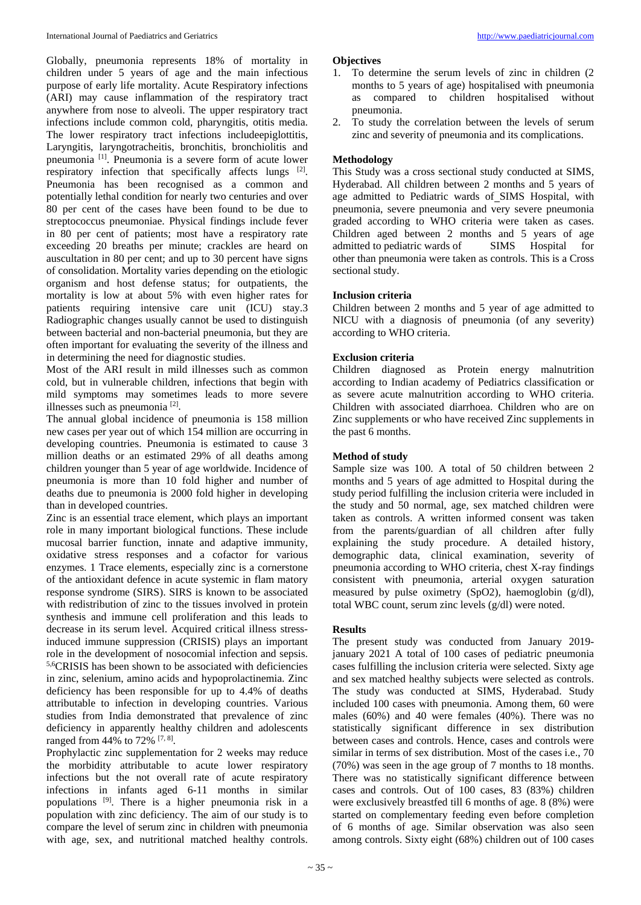Globally, pneumonia represents 18% of mortality in children under 5 years of age and the main infectious purpose of early life mortality. Acute Respiratory infections (ARI) may cause inflammation of the respiratory tract anywhere from nose to alveoli. The upper respiratory tract infections include common cold, pharyngitis, otitis media. The lower respiratory tract infections includeepiglottitis, Laryngitis, laryngotracheitis, bronchitis, bronchiolitis and pneumonia [1]. Pneumonia is a severe form of acute lower respiratory infection that specifically affects lungs [2]. Pneumonia has been recognised as a common and potentially lethal condition for nearly two centuries and over 80 per cent of the cases have been found to be due to streptococcus pneumoniae. Physical findings include fever in 80 per cent of patients; most have a respiratory rate exceeding 20 breaths per minute; crackles are heard on auscultation in 80 per cent; and up to 30 percent have signs of consolidation. Mortality varies depending on the etiologic organism and host defense status; for outpatients, the mortality is low at about 5% with even higher rates for patients requiring intensive care unit (ICU) stay.3 Radiographic changes usually cannot be used to distinguish between bacterial and non-bacterial pneumonia, but they are often important for evaluating the severity of the illness and in determining the need for diagnostic studies.

Most of the ARI result in mild illnesses such as common cold, but in vulnerable children, infections that begin with mild symptoms may sometimes leads to more severe illnesses such as pneumonia<sup>[2]</sup>.

The annual global incidence of pneumonia is 158 million new cases per year out of which 154 million are occurring in developing countries. Pneumonia is estimated to cause 3 million deaths or an estimated 29% of all deaths among children younger than 5 year of age worldwide. Incidence of pneumonia is more than 10 fold higher and number of deaths due to pneumonia is 2000 fold higher in developing than in developed countries.

Zinc is an essential trace element, which plays an important role in many important biological functions. These include mucosal barrier function, innate and adaptive immunity, oxidative stress responses and a cofactor for various enzymes. 1 Trace elements, especially zinc is a cornerstone of the antioxidant defence in acute systemic in flam matory response syndrome (SIRS). SIRS is known to be associated with redistribution of zinc to the tissues involved in protein synthesis and immune cell proliferation and this leads to decrease in its serum level. Acquired critical illness stressinduced immune suppression (CRISIS) plays an important role in the development of nosocomial infection and sepsis. 5,6CRISIS has been shown to be associated with deficiencies in zinc, selenium, amino acids and hypoprolactinemia. Zinc deficiency has been responsible for up to 4.4% of deaths attributable to infection in developing countries. Various studies from India demonstrated that prevalence of zinc deficiency in apparently healthy children and adolescents ranged from 44% to 72% [7, 8].

Prophylactic zinc supplementation for 2 weeks may reduce the morbidity attributable to acute lower respiratory infections but the not overall rate of acute respiratory infections in infants aged 6-11 months in similar populations [9]. There is a higher pneumonia risk in a population with zinc deficiency. The aim of our study is to compare the level of serum zinc in children with pneumonia with age, sex, and nutritional matched healthy controls.

## **Objectives**

- 1. To determine the serum levels of zinc in children (2 months to 5 years of age) hospitalised with pneumonia as compared to children hospitalised without pneumonia.
- 2. To study the correlation between the levels of serum zinc and severity of pneumonia and its complications.

## **Methodology**

This Study was a cross sectional study conducted at SIMS, Hyderabad. All children between 2 months and 5 years of age admitted to Pediatric wards of SIMS Hospital, with pneumonia, severe pneumonia and very severe pneumonia graded according to WHO criteria were taken as cases. Children aged between 2 months and 5 years of age admitted to pediatric wards of SIMS Hospital for other than pneumonia were taken as controls. This is a Cross sectional study.

## **Inclusion criteria**

Children between 2 months and 5 year of age admitted to NICU with a diagnosis of pneumonia (of any severity) according to WHO criteria.

## **Exclusion criteria**

Children diagnosed as Protein energy malnutrition according to Indian academy of Pediatrics classification or as severe acute malnutrition according to WHO criteria. Children with associated diarrhoea. Children who are on Zinc supplements or who have received Zinc supplements in the past 6 months.

## **Method of study**

Sample size was 100. A total of 50 children between 2 months and 5 years of age admitted to Hospital during the study period fulfilling the inclusion criteria were included in the study and 50 normal, age, sex matched children were taken as controls. A written informed consent was taken from the parents/guardian of all children after fully explaining the study procedure. A detailed history, demographic data, clinical examination, severity of pneumonia according to WHO criteria, chest X-ray findings consistent with pneumonia, arterial oxygen saturation measured by pulse oximetry (SpO2), haemoglobin (g/dl), total WBC count, serum zinc levels (g/dl) were noted.

## **Results**

The present study was conducted from January 2019 january 2021 A total of 100 cases of pediatric pneumonia cases fulfilling the inclusion criteria were selected. Sixty age and sex matched healthy subjects were selected as controls. The study was conducted at SIMS, Hyderabad. Study included 100 cases with pneumonia. Among them, 60 were males (60%) and 40 were females (40%). There was no statistically significant difference in sex distribution between cases and controls. Hence, cases and controls were similar in terms of sex distribution. Most of the cases i.e., 70 (70%) was seen in the age group of 7 months to 18 months. There was no statistically significant difference between cases and controls. Out of 100 cases, 83 (83%) children were exclusively breastfed till 6 months of age. 8 (8%) were started on complementary feeding even before completion of 6 months of age. Similar observation was also seen among controls. Sixty eight (68%) children out of 100 cases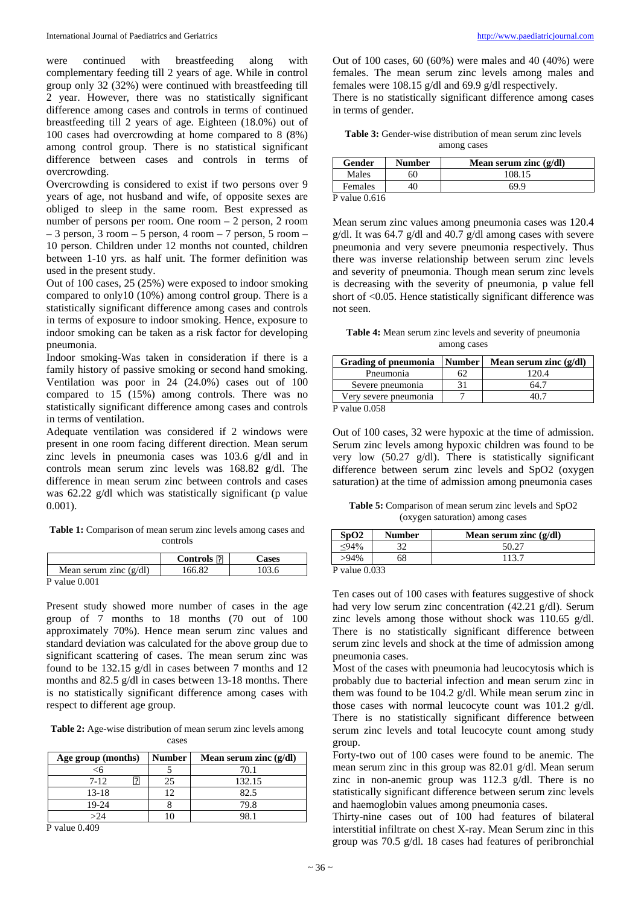were continued with breastfeeding along with complementary feeding till 2 years of age. While in control group only 32 (32%) were continued with breastfeeding till 2 year. However, there was no statistically significant difference among cases and controls in terms of continued breastfeeding till 2 years of age. Eighteen (18.0%) out of 100 cases had overcrowding at home compared to 8 (8%) among control group. There is no statistical significant difference between cases and controls in terms of overcrowding.

Overcrowding is considered to exist if two persons over 9 years of age, not husband and wife, of opposite sexes are obliged to sleep in the same room. Best expressed as number of persons per room. One room – 2 person, 2 room  $-3$  person,  $3$  room  $-5$  person,  $4$  room  $-7$  person,  $5$  room  $-$ 10 person. Children under 12 months not counted, children between 1-10 yrs. as half unit. The former definition was used in the present study.

Out of 100 cases, 25 (25%) were exposed to indoor smoking compared to only10 (10%) among control group. There is a statistically significant difference among cases and controls in terms of exposure to indoor smoking. Hence, exposure to indoor smoking can be taken as a risk factor for developing pneumonia.

Indoor smoking-Was taken in consideration if there is a family history of passive smoking or second hand smoking. Ventilation was poor in 24 (24.0%) cases out of 100 compared to 15 (15%) among controls. There was no statistically significant difference among cases and controls in terms of ventilation.

Adequate ventilation was considered if 2 windows were present in one room facing different direction. Mean serum zinc levels in pneumonia cases was 103.6 g/dl and in controls mean serum zinc levels was 168.82 g/dl. The difference in mean serum zinc between controls and cases was 62.22 g/dl which was statistically significant (p value 0.001).

**Table 1:** Comparison of mean serum zinc levels among cases and controls

|                          | <b>Controls</b> $\Box$ | Cases |
|--------------------------|------------------------|-------|
| Mean serum zinc $(g/dl)$ | 166.82                 | 103.6 |
| $P$ value $0.001$        |                        |       |

Present study showed more number of cases in the age group of 7 months to 18 months (70 out of 100 approximately 70%). Hence mean serum zinc values and standard deviation was calculated for the above group due to significant scattering of cases. The mean serum zinc was found to be 132.15 g/dl in cases between 7 months and 12 months and 82.5 g/dl in cases between 13-18 months. There is no statistically significant difference among cases with respect to different age group.

**Table 2:** Age-wise distribution of mean serum zinc levels among cases

| Age group (months) | Number | Mean serum zinc $(g/dl)$ |
|--------------------|--------|--------------------------|
|                    |        | 70.1                     |
| $7 - 12$           |        | 132.15                   |
| $13 - 18$          |        | 82.5                     |
| 19-24              |        | 79.8                     |
| >24                |        |                          |

P value 0.409

Out of 100 cases, 60 (60%) were males and 40 (40%) were females. The mean serum zinc levels among males and females were 108.15 g/dl and 69.9 g/dl respectively.

There is no statistically significant difference among cases in terms of gender.

| <b>Table 3:</b> Gender-wise distribution of mean serum zinc levels |             |  |  |
|--------------------------------------------------------------------|-------------|--|--|
|                                                                    | among cases |  |  |

| Gender  | <b>Number</b> | Mean serum zinc $(g/dl)$ |
|---------|---------------|--------------------------|
| Males   | 60            | 108.15                   |
| Females | 40            | 69.9                     |

P value 0.616

Mean serum zinc values among pneumonia cases was 120.4 g/dl. It was 64.7 g/dl and 40.7 g/dl among cases with severe pneumonia and very severe pneumonia respectively. Thus there was inverse relationship between serum zinc levels and severity of pneumonia. Though mean serum zinc levels is decreasing with the severity of pneumonia, p value fell short of <0.05. Hence statistically significant difference was not seen.

**Table 4:** Mean serum zinc levels and severity of pneumonia among cases

| <b>Grading of pneumonia</b> | <b>Number</b> | Mean serum zinc $(g/dl)$ |
|-----------------------------|---------------|--------------------------|
| Pneumonia                   |               | 120.4                    |
| Severe pneumonia            |               | 54.                      |
| Very severe pneumonia       |               |                          |
| P value $0.058$             |               |                          |

Out of 100 cases, 32 were hypoxic at the time of admission. Serum zinc levels among hypoxic children was found to be very low (50.27 g/dl). There is statistically significant difference between serum zinc levels and SpO2 (oxygen saturation) at the time of admission among pneumonia cases

**Table 5:** Comparison of mean serum zinc levels and SpO2 (oxygen saturation) among cases

| SpO2          | <b>Number</b> | Mean serum zinc $(g/dl)$ |
|---------------|---------------|--------------------------|
| .040/         |               |                          |
| $>94\%$       |               | 113.7                    |
| D volue 0.033 |               |                          |

P value 0.033

Ten cases out of 100 cases with features suggestive of shock had very low serum zinc concentration (42.21 g/dl). Serum zinc levels among those without shock was 110.65 g/dl. There is no statistically significant difference between serum zinc levels and shock at the time of admission among pneumonia cases.

Most of the cases with pneumonia had leucocytosis which is probably due to bacterial infection and mean serum zinc in them was found to be 104.2 g/dl. While mean serum zinc in those cases with normal leucocyte count was 101.2 g/dl. There is no statistically significant difference between serum zinc levels and total leucocyte count among study group.

Forty-two out of 100 cases were found to be anemic. The mean serum zinc in this group was 82.01 g/dl. Mean serum zinc in non-anemic group was 112.3 g/dl. There is no statistically significant difference between serum zinc levels and haemoglobin values among pneumonia cases.

Thirty-nine cases out of 100 had features of bilateral interstitial infiltrate on chest X-ray. Mean Serum zinc in this group was 70.5 g/dl. 18 cases had features of peribronchial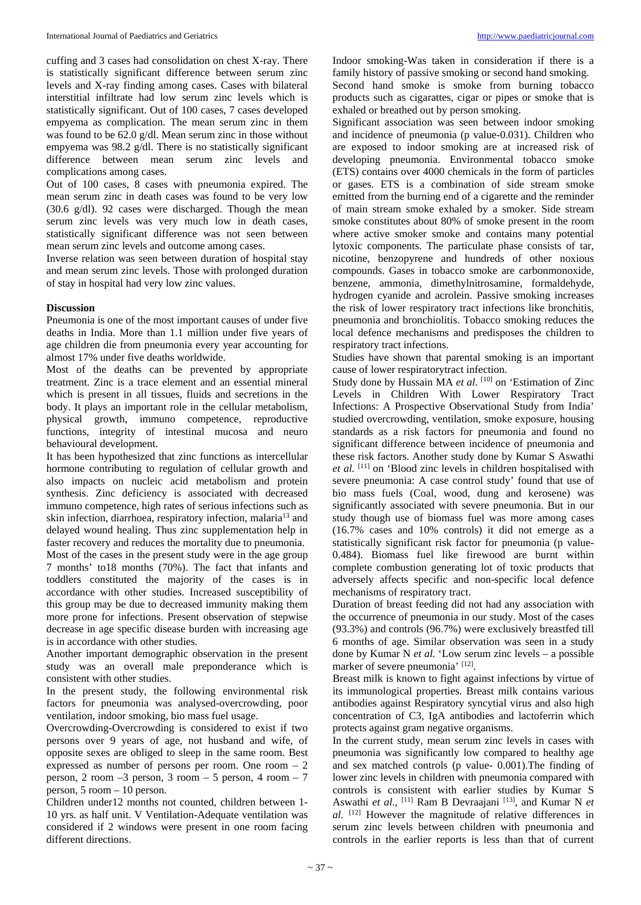cuffing and 3 cases had consolidation on chest X-ray. There is statistically significant difference between serum zinc levels and X-ray finding among cases. Cases with bilateral interstitial infiltrate had low serum zinc levels which is statistically significant. Out of 100 cases, 7 cases developed empyema as complication. The mean serum zinc in them was found to be 62.0 g/dl. Mean serum zinc in those without empyema was 98.2 g/dl. There is no statistically significant difference between mean serum zinc levels and complications among cases.

Out of 100 cases, 8 cases with pneumonia expired. The mean serum zinc in death cases was found to be very low (30.6 g/dl). 92 cases were discharged. Though the mean serum zinc levels was very much low in death cases, statistically significant difference was not seen between mean serum zinc levels and outcome among cases.

Inverse relation was seen between duration of hospital stay and mean serum zinc levels. Those with prolonged duration of stay in hospital had very low zinc values.

#### **Discussion**

Pneumonia is one of the most important causes of under five deaths in India. More than 1.1 million under five years of age children die from pneumonia every year accounting for almost 17% under five deaths worldwide.

Most of the deaths can be prevented by appropriate treatment. Zinc is a trace element and an essential mineral which is present in all tissues, fluids and secretions in the body. It plays an important role in the cellular metabolism, physical growth, immuno competence, reproductive functions, integrity of intestinal mucosa and neuro behavioural development.

It has been hypothesized that zinc functions as intercellular hormone contributing to regulation of cellular growth and also impacts on nucleic acid metabolism and protein synthesis. Zinc deficiency is associated with decreased immuno competence, high rates of serious infections such as skin infection, diarrhoea, respiratory infection, malaria<sup>13</sup> and delayed wound healing. Thus zinc supplementation help in faster recovery and reduces the mortality due to pneumonia. Most of the cases in the present study were in the age group 7 months' to18 months (70%). The fact that infants and toddlers constituted the majority of the cases is in accordance with other studies. Increased susceptibility of this group may be due to decreased immunity making them more prone for infections. Present observation of stepwise decrease in age specific disease burden with increasing age is in accordance with other studies.

Another important demographic observation in the present study was an overall male preponderance which is consistent with other studies.

In the present study, the following environmental risk factors for pneumonia was analysed-overcrowding, poor ventilation, indoor smoking, bio mass fuel usage.

Overcrowding-Overcrowding is considered to exist if two persons over 9 years of age, not husband and wife, of opposite sexes are obliged to sleep in the same room. Best expressed as number of persons per room. One room – 2 person,  $2$  room  $-3$  person,  $3$  room  $-5$  person,  $4$  room  $-7$ person, 5 room – 10 person.

Children under12 months not counted, children between 1- 10 yrs. as half unit. V Ventilation-Adequate ventilation was considered if 2 windows were present in one room facing different directions.

Indoor smoking-Was taken in consideration if there is a family history of passive smoking or second hand smoking. Second hand smoke is smoke from burning tobacco products such as cigarattes, cigar or pipes or smoke that is exhaled or breathed out by person smoking.

Significant association was seen between indoor smoking and incidence of pneumonia (p value-0.031). Children who are exposed to indoor smoking are at increased risk of developing pneumonia. Environmental tobacco smoke (ETS) contains over 4000 chemicals in the form of particles or gases. ETS is a combination of side stream smoke emitted from the burning end of a cigarette and the reminder of main stream smoke exhaled by a smoker. Side stream smoke constitutes about 80% of smoke present in the room where active smoker smoke and contains many potential lytoxic components. The particulate phase consists of tar, nicotine, benzopyrene and hundreds of other noxious compounds. Gases in tobacco smoke are carbonmonoxide, benzene, ammonia, dimethylnitrosamine, formaldehyde, hydrogen cyanide and acrolein. Passive smoking increases the risk of lower respiratory tract infections like bronchitis, pneumonia and bronchiolitis. Tobacco smoking reduces the local defence mechanisms and predisposes the children to respiratory tract infections.

Studies have shown that parental smoking is an important cause of lower respiratorytract infection.

Study done by Hussain MA *et al.* [10] on 'Estimation of Zinc Levels in Children With Lower Respiratory Tract Infections: A Prospective Observational Study from India' studied overcrowding, ventilation, smoke exposure, housing standards as a risk factors for pneumonia and found no significant difference between incidence of pneumonia and these risk factors. Another study done by Kumar S Aswathi *et al.* [11] on 'Blood zinc levels in children hospitalised with severe pneumonia: A case control study' found that use of bio mass fuels (Coal, wood, dung and kerosene) was significantly associated with severe pneumonia. But in our study though use of biomass fuel was more among cases (16.7% cases and 10% controls) it did not emerge as a statistically significant risk factor for pneumonia (p value-0.484). Biomass fuel like firewood are burnt within complete combustion generating lot of toxic products that adversely affects specific and non-specific local defence mechanisms of respiratory tract.

Duration of breast feeding did not had any association with the occurrence of pneumonia in our study. Most of the cases (93.3%) and controls (96.7%) were exclusively breastfed till 6 months of age. Similar observation was seen in a study done by Kumar N *et al.* 'Low serum zinc levels – a possible marker of severe pneumonia<sup>' [12]</sup>.

Breast milk is known to fight against infections by virtue of its immunological properties. Breast milk contains various antibodies against Respiratory syncytial virus and also high concentration of C3, IgA antibodies and lactoferrin which protects against gram negative organisms.

In the current study, mean serum zinc levels in cases with pneumonia was significantly low compared to healthy age and sex matched controls (p value- 0.001).The finding of lower zinc levels in children with pneumonia compared with controls is consistent with earlier studies by Kumar S Aswathi *et al.*, <sup>[11]</sup> Ram B Devraajani <sup>[13]</sup>, and Kumar N *et al.* [12] However the magnitude of relative differences in serum zinc levels between children with pneumonia and controls in the earlier reports is less than that of current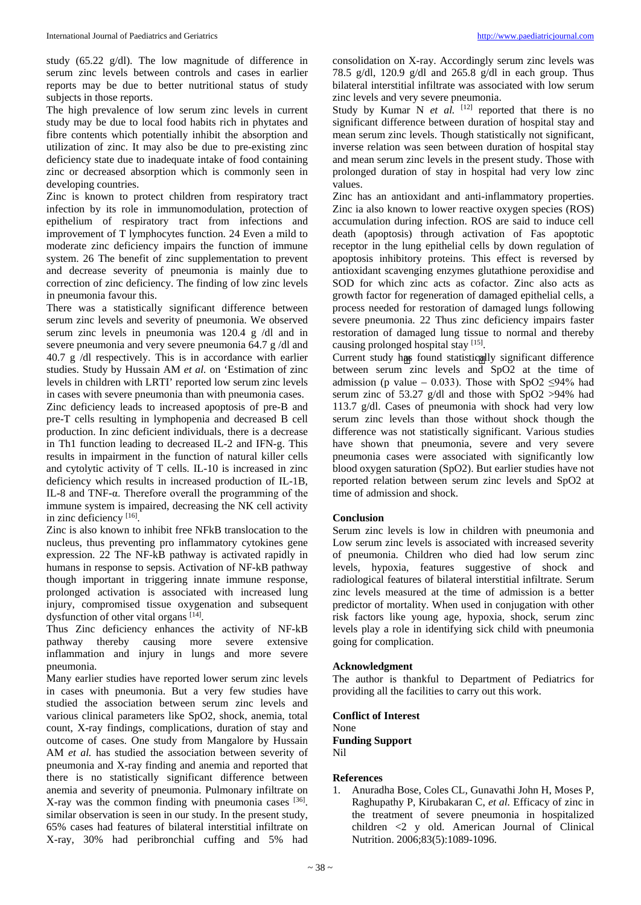study (65.22 g/dl). The low magnitude of difference in serum zinc levels between controls and cases in earlier reports may be due to better nutritional status of study subjects in those reports.

The high prevalence of low serum zinc levels in current study may be due to local food habits rich in phytates and fibre contents which potentially inhibit the absorption and utilization of zinc. It may also be due to pre-existing zinc deficiency state due to inadequate intake of food containing zinc or decreased absorption which is commonly seen in developing countries.

Zinc is known to protect children from respiratory tract infection by its role in immunomodulation, protection of epithelium of respiratory tract from infections and improvement of T lymphocytes function. 24 Even a mild to moderate zinc deficiency impairs the function of immune system. 26 The benefit of zinc supplementation to prevent and decrease severity of pneumonia is mainly due to correction of zinc deficiency. The finding of low zinc levels in pneumonia favour this.

There was a statistically significant difference between serum zinc levels and severity of pneumonia. We observed serum zinc levels in pneumonia was 120.4 g /dl and in severe pneumonia and very severe pneumonia 64.7 g /dl and 40.7 g /dl respectively. This is in accordance with earlier studies. Study by Hussain AM *et al.* on 'Estimation of zinc levels in children with LRTI' reported low serum zinc levels in cases with severe pneumonia than with pneumonia cases. Zinc deficiency leads to increased apoptosis of pre-B and pre-T cells resulting in lymphopenia and decreased B cell production. In zinc deficient individuals, there is a decrease in Th1 function leading to decreased IL-2 and IFN-g. This results in impairment in the function of natural killer cells and cytolytic activity of T cells. IL-10 is increased in zinc deficiency which results in increased production of IL-1B, IL-8 and TNF-α. Therefore overall the programming of the immune system is impaired, decreasing the NK cell activity in zinc deficiency [16].

Zinc is also known to inhibit free NFkB translocation to the nucleus, thus preventing pro inflammatory cytokines gene expression. 22 The NF-kB pathway is activated rapidly in humans in response to sepsis. Activation of NF-kB pathway though important in triggering innate immune response, prolonged activation is associated with increased lung injury, compromised tissue oxygenation and subsequent dysfunction of other vital organs [14].

Thus Zinc deficiency enhances the activity of NF-kB pathway thereby causing more severe extensive inflammation and injury in lungs and more severe pneumonia.

Many earlier studies have reported lower serum zinc levels in cases with pneumonia. But a very few studies have studied the association between serum zinc levels and various clinical parameters like SpO2, shock, anemia, total count, X-ray findings, complications, duration of stay and outcome of cases. One study from Mangalore by Hussain AM *et al.* has studied the association between severity of pneumonia and X-ray finding and anemia and reported that there is no statistically significant difference between anemia and severity of pneumonia. Pulmonary infiltrate on X-ray was the common finding with pneumonia cases [36]. similar observation is seen in our study. In the present study, 65% cases had features of bilateral interstitial infiltrate on X-ray, 30% had peribronchial cuffing and 5% had

consolidation on X-ray. Accordingly serum zinc levels was 78.5 g/dl, 120.9 g/dl and 265.8 g/dl in each group. Thus bilateral interstitial infiltrate was associated with low serum zinc levels and very severe pneumonia.

Study by Kumar N *et al.* <sup>[12]</sup> reported that there is no significant difference between duration of hospital stay and mean serum zinc levels. Though statistically not significant, inverse relation was seen between duration of hospital stay and mean serum zinc levels in the present study. Those with prolonged duration of stay in hospital had very low zinc values.

Zinc has an antioxidant and anti-inflammatory properties. Zinc ia also known to lower reactive oxygen species (ROS) accumulation during infection. ROS are said to induce cell death (apoptosis) through activation of Fas apoptotic receptor in the lung epithelial cells by down regulation of apoptosis inhibitory proteins. This effect is reversed by antioxidant scavenging enzymes glutathione peroxidise and SOD for which zinc acts as cofactor. Zinc also acts as growth factor for regeneration of damaged epithelial cells, a process needed for restoration of damaged lungs following severe pneumonia. 22 Thus zinc deficiency impairs faster restoration of damaged lung tissue to normal and thereby causing prolonged hospital stay [15].

Current study has found statistically significant difference between serum zinc levels and SpO2 at the time of admission (p value – 0.033). Those with SpO2  $\leq$ 94% had serum zinc of 53.27 g/dl and those with SpO2 >94% had 113.7 g/dl. Cases of pneumonia with shock had very low serum zinc levels than those without shock though the difference was not statistically significant. Various studies have shown that pneumonia, severe and very severe pneumonia cases were associated with significantly low blood oxygen saturation (SpO2). But earlier studies have not reported relation between serum zinc levels and SpO2 at time of admission and shock.

## **Conclusion**

Serum zinc levels is low in children with pneumonia and Low serum zinc levels is associated with increased severity of pneumonia. Children who died had low serum zinc levels, hypoxia, features suggestive of shock and radiological features of bilateral interstitial infiltrate. Serum zinc levels measured at the time of admission is a better predictor of mortality. When used in conjugation with other risk factors like young age, hypoxia, shock, serum zinc levels play a role in identifying sick child with pneumonia going for complication.

#### **Acknowledgment**

The author is thankful to Department of Pediatrics for providing all the facilities to carry out this work.

**Conflict of Interest** None **Funding Support** Nil

#### **References**

1. Anuradha Bose, Coles CL, Gunavathi John H, Moses P, Raghupathy P, Kirubakaran C, *et al.* Efficacy of zinc in the treatment of severe pneumonia in hospitalized children <2 y old. American Journal of Clinical Nutrition. 2006;83(5):1089-1096.